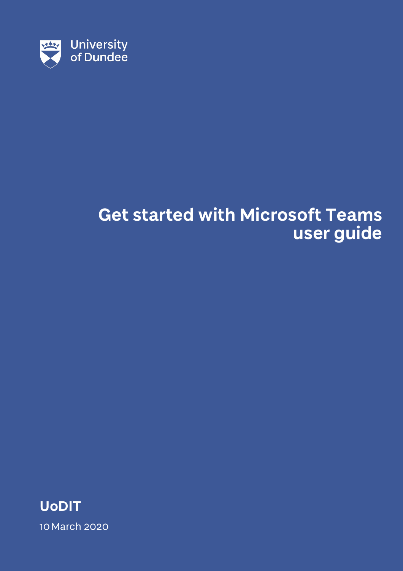

## **Get started with Microsoft Teams user guide**

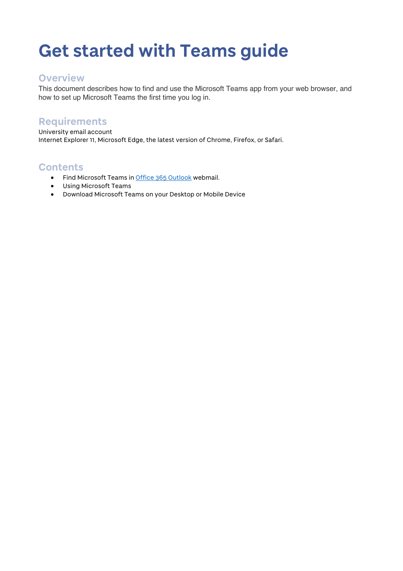# **Get started with Teams guide**

#### **Overview**

This document describes how to find and use the Microsoft Teams app from your web browser, and how to set up Microsoft Teams the first time you log in.

#### **Requirements**

University email account Internet Explorer 11, Microsoft Edge, the latest version of Chrome, Firefox, or Safari.

#### **Contents**

- Find Microsoft Teams in Office 365 Outlook webmail.
- Using Microsoft Teams
- Download Microsoft Teams on your Desktop or Mobile Device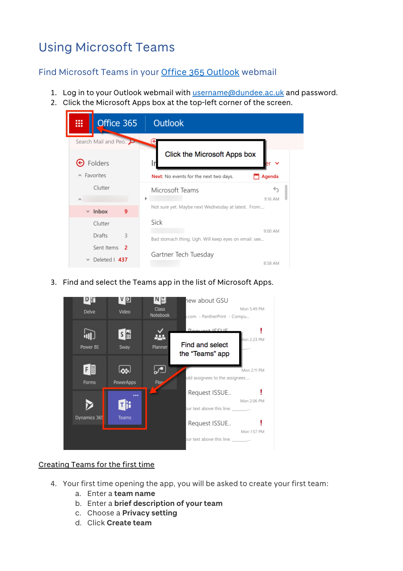### Using Microsoft Teams

Find Microsoft Teams in your Office 365 Outlook webmail

- 1. Log in to your Outlook webmail with username@dundee.ac.uk and password.
- 2. Click the Microsoft Apps box at the top-left corner of the screen.

| <br>                                    | Office 365                                |   | Outlook                                                 |  |  |  |  |
|-----------------------------------------|-------------------------------------------|---|---------------------------------------------------------|--|--|--|--|
| Search Mail and Peo<br>$\Theta$ Folders |                                           |   | Click the Microsoft Apps box                            |  |  |  |  |
| $\land$ Favorites                       |                                           |   | Agenda<br><b>Next:</b> No events for the next two days. |  |  |  |  |
| $\hat{\phantom{a}}$                     | Clutter<br>$\times$ Inbox<br>9<br>Clutter |   | Microsoft Teams<br>9:16 AM                              |  |  |  |  |
|                                         |                                           |   | Not sure yet. Maybe next Wednesday at latest. From:     |  |  |  |  |
|                                         |                                           |   | Sick<br>9:00 AM                                         |  |  |  |  |
|                                         | Drafts                                    | 3 | Bad stomach thing. Ugh. Will keep eyes on email. see    |  |  |  |  |
|                                         | Sent Items 2<br>Deleted   437             |   | Gartner Tech Tuesday<br>8:58 AM                         |  |  |  |  |

3. Find and select the Teams app in the list of Microsoft Apps.



#### Creating Teams for the first time

- 4. Your first time opening the app, you will be asked to create your first team:
	- a. Enter a **team name**
	- b. Enter a **brief description of your team**
	- c. Choose a **Privacy setting**
	- d. Click **Create team**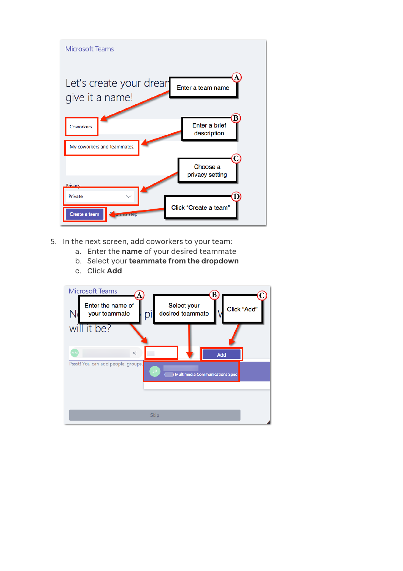

- 5. In the next screen, add coworkers to your team:
	- a. Enter the **name** of your desired teammate
	- b. Select your **teammate from the dropdown**
	- c. Click **Add**

| <b>Microsoft Teams</b><br>Enter the name of<br>your teammate | Select your<br>Click "Add"<br>desired teammate |
|--------------------------------------------------------------|------------------------------------------------|
| will it be?<br>MM<br>×                                       | Add                                            |
| Pssst! You can add people, groups,                           | <b>Multimedia Communications Spec</b>          |
|                                                              | <b>Skip</b>                                    |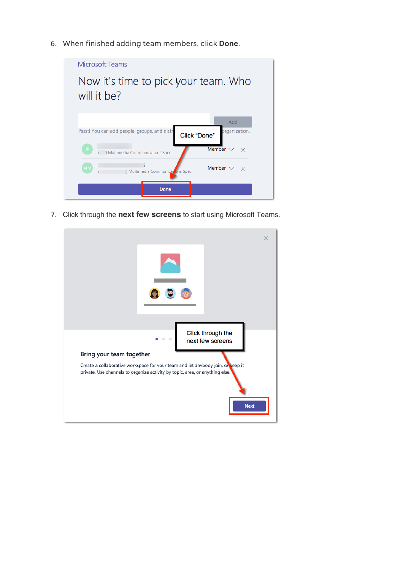6. When finished adding team members, click **Done**.



7. Click through the **next few screens** to start using Microsoft Teams.

|                                                                              |          |                                                                                 | $\times$    |
|------------------------------------------------------------------------------|----------|---------------------------------------------------------------------------------|-------------|
|                                                                              |          |                                                                                 |             |
|                                                                              | $-0 - 0$ | Click through the<br>next few screens                                           |             |
| Bring your team together                                                     |          |                                                                                 |             |
| private. Use channels to organize activity by topic, area, or anything else. |          | Create a collaborative workspace for your team and let anybody join, or keep it | <b>Next</b> |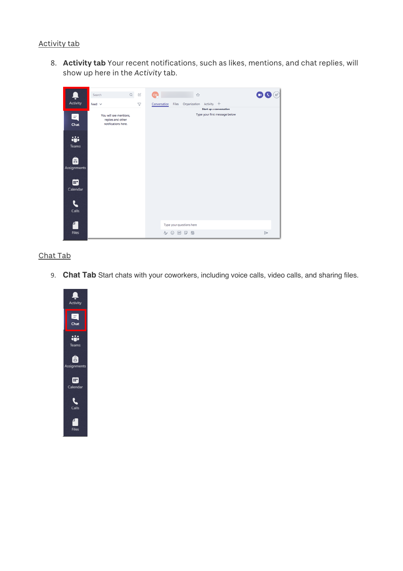#### Activity tab

8. **Activity tab** Your recent notifications, such as likes, mentions, and chat replies, will show up here in the *Activity* tab.

|                                                                                | Search                                                             | $\hbox{Q}$ | $\mathbb{Z}^2$ | $\bullet$ $\bullet$<br>$C^{\mu}$<br>☆                           |
|--------------------------------------------------------------------------------|--------------------------------------------------------------------|------------|----------------|-----------------------------------------------------------------|
| Activity                                                                       | Feed $\vee$                                                        |            | Y              | Organization<br>Activity +<br>Files<br>Conversation             |
| $=$<br>Chat<br>ij.<br><b>Teams</b><br>8<br><b>Assignments</b><br>m<br>Calendar | You will see mentions,<br>replies and other<br>notifications here. |            |                | <b>Start up a conversation</b><br>Type your first message below |
| $\mathcal{G}$<br>Calls<br>4<br><b>Files</b>                                    |                                                                    |            |                | Type your questions here<br>四日的<br>☺<br>$\Rightarrow$<br>Ar     |

#### Chat Tab

9. **Chat Tab** Start chats with your coworkers, including voice calls, video calls, and sharing files.

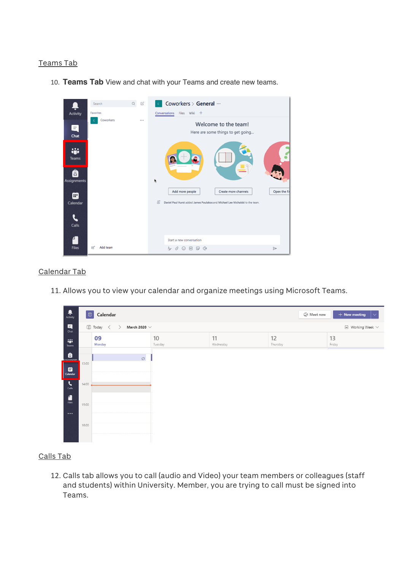#### Teams Tab

10. **Teams Tab** View and chat with your Teams and create new teams.



#### Calendar Tab

11. Allows you to view your calendar and organize meetings using Microsoft Teams.

| $\begin{array}{c}\n\bullet \\ \bullet \\ \text{Activity}\n\end{array}$                       |                                                                                                                                                                                  | <b>E</b> Calendar |               |                 | آن Meet now    | $+$ New meeting<br>$\checkmark$ |  |  |  |
|----------------------------------------------------------------------------------------------|----------------------------------------------------------------------------------------------------------------------------------------------------------------------------------|-------------------|---------------|-----------------|----------------|---------------------------------|--|--|--|
| $\blacksquare$<br>Chat                                                                       | $\left[\begin{matrix} \cdot \\ \cdot \\ \cdot \end{matrix}\right]$ Today $\left\langle \cdot \right\rangle$<br><b>□</b> Working Week ∨<br>March 2020 $\,\vee\,$<br>$\rightarrow$ |                   |               |                 |                |                                 |  |  |  |
| 46<br>Teams                                                                                  |                                                                                                                                                                                  | 09<br>Monday      | 10<br>Tuesday | 11<br>Wednesday | 12<br>Thursday | 13<br>Friday                    |  |  |  |
| ê<br>ssianments                                                                              | 13:00                                                                                                                                                                            | $\circ$           |               |                 |                |                                 |  |  |  |
| ₩<br>Calendar                                                                                |                                                                                                                                                                                  |                   |               |                 |                |                                 |  |  |  |
| $\sum_{\text{Calls}}$<br>$\begin{array}{c}\n\bullet \\ \bullet \\ \text{Files}\n\end{array}$ | 14:00                                                                                                                                                                            |                   |               |                 |                |                                 |  |  |  |
| $\cdots$                                                                                     | 15:00                                                                                                                                                                            |                   |               |                 |                |                                 |  |  |  |
|                                                                                              | 16:00                                                                                                                                                                            |                   |               |                 |                |                                 |  |  |  |
|                                                                                              |                                                                                                                                                                                  |                   |               |                 |                |                                 |  |  |  |

#### Calls Tab

12. Calls tab allows you to call (audio and Video) your team members or colleagues (staff and students) within University. Member, you are trying to call must be signed into Teams.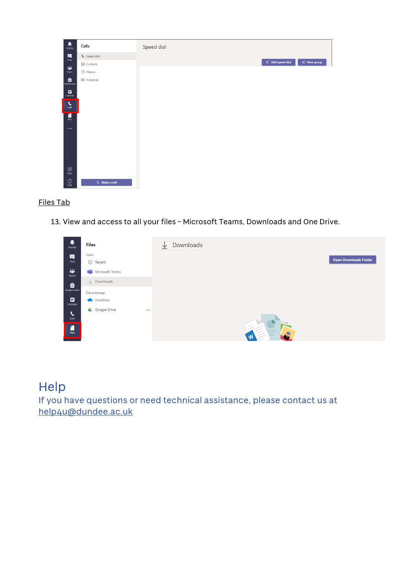

#### Files Tab

13. View and access to all your files – Microsoft Teams, Downloads and One Drive.



### **Help**

If you have questions or need technical assistance, please contact us at help4u@dundee.ac.uk